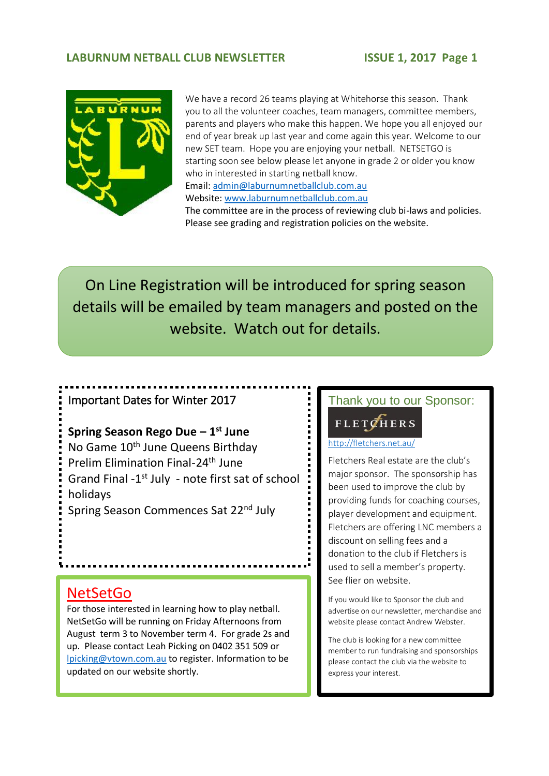#### **LABURNUM NETBALL CLUB NEWSLETTER ISSUE 1, 2017 Page 1**



We have a record 26 teams playing at Whitehorse this season. Thank you to all the volunteer coaches, team managers, committee members, parents and players who make this happen. We hope you all enjoyed our end of year break up last year and come again this year. Welcome to our new SET team. Hope you are enjoying your netball. NETSETGO is starting soon see below please let anyone in grade 2 or older you know who in interested in starting netball know. Email: [admin@laburnumnetballclub.com.au](mailto:admin@laburnumnetballclub.com.au) Website[: www.laburnumnetballclub.com.au](http://www.laburnumnetballclub.com.au/) 

The committee are in the process of reviewing club bi-laws and policies. Please see grading and registration policies on the website.

On Line Registration will be introduced for spring season details will be emailed by team managers and posted on the website. Watch out for details.

# Important Dates for Winter 2017

**Spring Season Rego Due – 1 st June** No Game 10<sup>th</sup> June Queens Birthday Prelim Elimination Final-24th June Grand Final -1<sup>st</sup> July - note first sat of school holidays Spring Season Commences Sat 22nd July

### **NetSetGo**

For those interested in learning how to play netball. NetSetGo will be running on Friday Afternoons from August term 3 to November term 4. For grade 2s and up. Please contact Leah Picking on 0402 351 509 or [lpicking@vtown.com.au](mailto:lpicking@vtown.com.au) to register. Information to be updated on our website shortly.

### Thank you to our Sponsor:

### **FLETCHERS**

#### 2. <http://fletchers.net.au/>

Fletchers Real estate are the club's major sponsor. The sponsorship has been used to improve the club by providing funds for coaching courses, player development and equipment. Fletchers are offering LNC members a discount on selling fees and a donation to the club if Fletchers is used to sell a member's property. See flier on website.

If you would like to Sponsor the club and advertise on our newsletter, merchandise and website please contact Andrew Webster.

The club is looking for a new committee member to run fundraising and sponsorships please contact the club via the website to express your interest.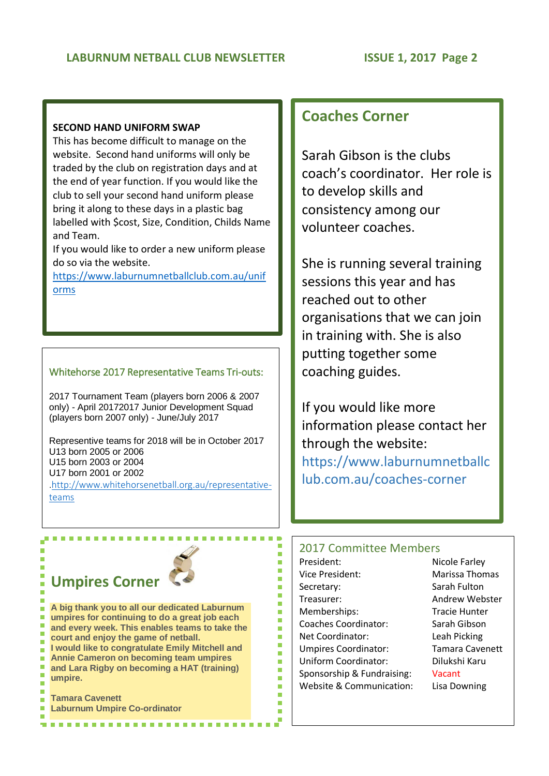#### **SECOND HAND UNIFORM SWAP**

This has become difficult to manage on the website. Second hand uniforms will only be traded by the club on registration days and at the end of year function. If you would like the club to sell your second hand uniform please bring it along to these days in a plastic bag labelled with \$cost, Size, Condition, Childs Name and Team.

If you would like to order a new uniform please do so via the website.

[https://www.laburnumnetballclub.com.au/unif](https://www.laburnumnetballclub.com.au/uniforms) [orms](https://www.laburnumnetballclub.com.au/uniforms)

#### Whitehorse 2017 Representative Teams Tri-outs:

2017 Tournament Team (players born 2006 & 2007 only) - April 20172017 Junior Development Squad (players born 2007 only) - June/July 2017

Representive teams for 2018 will be in October 2017 U13 born 2005 or 2006 U15 born 2003 or 2004 U17 born 2001 or 2002

[.http://www.whitehorsenetball.org.au/representative](http://www.whitehorsenetball.org.au/representative-teams)[teams](http://www.whitehorsenetball.org.au/representative-teams)

## **Coaches Corner**

Sarah Gibson is the clubs coach's coordinator. Her role is to develop skills and consistency among our volunteer coaches.

She is running several training sessions this year and has reached out to other organisations that we can join in training with. She is also putting together some coaching guides.

If you would like more information please contact her through the website: https://www.laburnumnetballc lub.com.au/coaches-corner

## 2017 Committee Members

r r Ė r ÷ ×

٠

Ė

ŕ Ė ٠ ÷

r

ŕ

Ė ٠

**COL** 

×

President: Nicole Farley Vice President: Marissa Thomas Secretary: Sarah Fulton Treasurer: Andrew Webster Memberships: Tracie Hunter Coaches Coordinator: Sarah Gibson Net Coordinator: Leah Picking Umpires Coordinator: Tamara Cavenett Uniform Coordinator: Dilukshi Karu Sponsorship & Fundraising: Vacant Website & Communication: Lisa Downing

# **Umpires Corner**

**The State** 

 $\overline{\phantom{a}}$ 

 $\overline{\phantom{a}}$ 

 $\mathcal{L}_{\mathcal{A}}$ 

 $\blacksquare$ 

Ē.

П

 $\mathbf{r}$ 

 $\blacksquare$ 

**A big thank you to all our dedicated Laburnum umpires for continuing to do a great job each and every week. This enables teams to take the court and enjoy the game of netball. I** would like to congratulate Emily Mitchell and **Annie Cameron on becoming team umpires and Lara Rigby on becoming a HAT (training) umpire.**

**Tamara Cavenett Laburnum Umpire Co-ordinator**